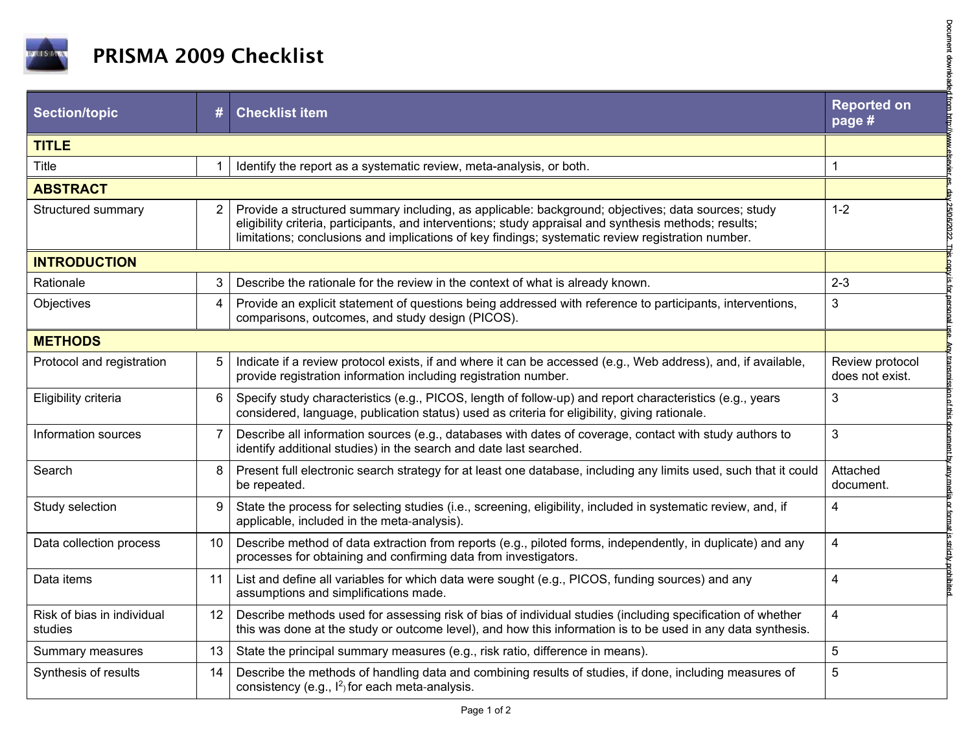

| <b>PRISMA 2009 Checklist</b>          |                |                                                                                                                                                                                                                                                                                                                   |                                    |  |  |
|---------------------------------------|----------------|-------------------------------------------------------------------------------------------------------------------------------------------------------------------------------------------------------------------------------------------------------------------------------------------------------------------|------------------------------------|--|--|
| <b>Section/topic</b>                  | #              | <b>Checklist item</b>                                                                                                                                                                                                                                                                                             | <b>Reported on</b><br>page #       |  |  |
| <b>TITLE</b>                          |                |                                                                                                                                                                                                                                                                                                                   |                                    |  |  |
| Title                                 | 1              | Identify the report as a systematic review, meta-analysis, or both.                                                                                                                                                                                                                                               | 1                                  |  |  |
| <b>ABSTRACT</b>                       |                |                                                                                                                                                                                                                                                                                                                   |                                    |  |  |
| Structured summary                    | 2              | Provide a structured summary including, as applicable: background; objectives; data sources; study<br>eligibility criteria, participants, and interventions; study appraisal and synthesis methods; results;<br>limitations; conclusions and implications of key findings; systematic review registration number. | $1 - 2$                            |  |  |
| <b>INTRODUCTION</b>                   |                |                                                                                                                                                                                                                                                                                                                   |                                    |  |  |
| Rationale                             | 3              | Describe the rationale for the review in the context of what is already known.                                                                                                                                                                                                                                    | $2 - 3$                            |  |  |
| Objectives                            | 4              | Provide an explicit statement of questions being addressed with reference to participants, interventions,<br>comparisons, outcomes, and study design (PICOS).                                                                                                                                                     | $\mathfrak{B}$                     |  |  |
| <b>METHODS</b>                        |                |                                                                                                                                                                                                                                                                                                                   |                                    |  |  |
| Protocol and registration             | 5              | Indicate if a review protocol exists, if and where it can be accessed (e.g., Web address), and, if available,<br>provide registration information including registration number.                                                                                                                                  | Review protocol<br>does not exist. |  |  |
| Eligibility criteria                  | 6              | Specify study characteristics (e.g., PICOS, length of follow-up) and report characteristics (e.g., years<br>considered, language, publication status) used as criteria for eligibility, giving rationale.                                                                                                         | 3                                  |  |  |
| Information sources                   | $\overline{7}$ | Describe all information sources (e.g., databases with dates of coverage, contact with study authors to<br>identify additional studies) in the search and date last searched.                                                                                                                                     | 3                                  |  |  |
| Search                                | 8              | Present full electronic search strategy for at least one database, including any limits used, such that it could<br>be repeated.                                                                                                                                                                                  | Attached<br>document.              |  |  |
| Study selection                       | 9              | State the process for selecting studies (i.e., screening, eligibility, included in systematic review, and, if<br>applicable, included in the meta-analysis).                                                                                                                                                      | $\overline{\mathbf{4}}$            |  |  |
| Data collection process               | 10             | Describe method of data extraction from reports (e.g., piloted forms, independently, in duplicate) and any<br>processes for obtaining and confirming data from investigators.                                                                                                                                     | $\overline{\mathbf{4}}$            |  |  |
| Data items                            | 11             | List and define all variables for which data were sought (e.g., PICOS, funding sources) and any<br>assumptions and simplifications made.                                                                                                                                                                          | 4                                  |  |  |
| Risk of bias in individual<br>studies | 12             | Describe methods used for assessing risk of bias of individual studies (including specification of whether<br>this was done at the study or outcome level), and how this information is to be used in any data synthesis.                                                                                         | $\overline{\mathbf{4}}$            |  |  |
| Summary measures                      | 13             | State the principal summary measures (e.g., risk ratio, difference in means).                                                                                                                                                                                                                                     | $5\phantom{.0}$                    |  |  |
| Synthesis of results                  | 14             | Describe the methods of handling data and combining results of studies, if done, including measures of<br>consistency (e.g., $I^2$ ) for each meta-analysis.                                                                                                                                                      | 5                                  |  |  |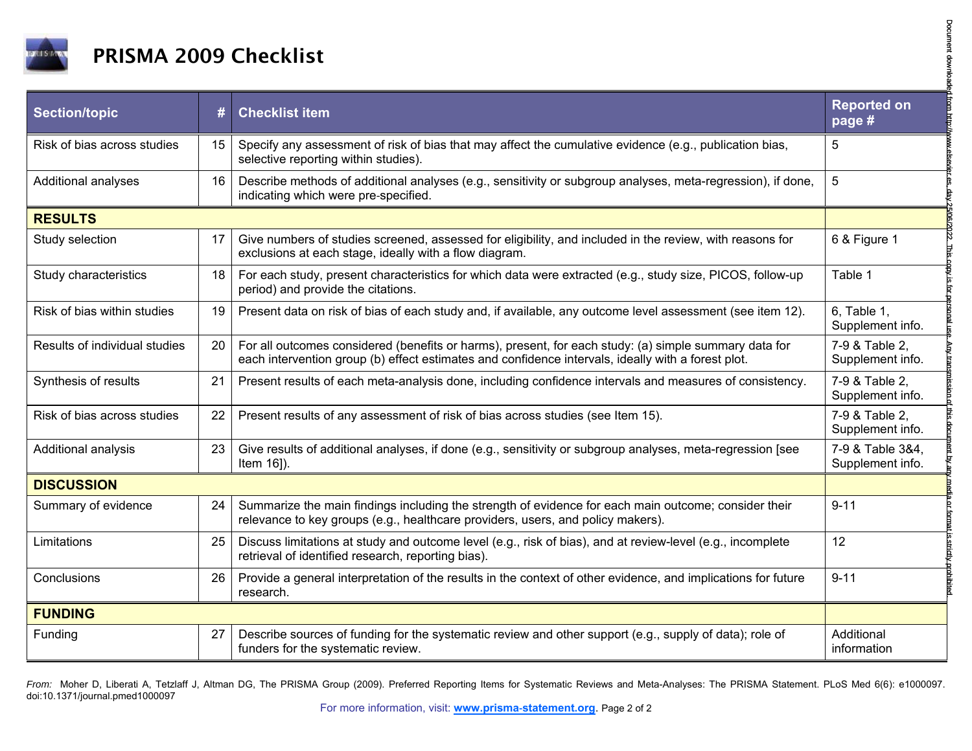

| <b>PRISMA 2009 Checklist</b>  |    |                                                                                                                                                                                                             |                                      |  |  |
|-------------------------------|----|-------------------------------------------------------------------------------------------------------------------------------------------------------------------------------------------------------------|--------------------------------------|--|--|
| <b>Section/topic</b>          | #  | <b>Checklist item</b>                                                                                                                                                                                       | <b>Reported on</b><br>page #         |  |  |
| Risk of bias across studies   | 15 | Specify any assessment of risk of bias that may affect the cumulative evidence (e.g., publication bias,<br>selective reporting within studies).                                                             | 5                                    |  |  |
| Additional analyses           | 16 | Describe methods of additional analyses (e.g., sensitivity or subgroup analyses, meta-regression), if done,<br>indicating which were pre-specified.                                                         | 5                                    |  |  |
| <b>RESULTS</b>                |    |                                                                                                                                                                                                             |                                      |  |  |
| Study selection               | 17 | Give numbers of studies screened, assessed for eligibility, and included in the review, with reasons for<br>exclusions at each stage, ideally with a flow diagram.                                          | 6 & Figure 1                         |  |  |
| Study characteristics         | 18 | For each study, present characteristics for which data were extracted (e.g., study size, PICOS, follow-up<br>period) and provide the citations.                                                             | Table 1                              |  |  |
| Risk of bias within studies   | 19 | Present data on risk of bias of each study and, if available, any outcome level assessment (see item 12).                                                                                                   | 6, Table 1,<br>Supplement info.      |  |  |
| Results of individual studies | 20 | For all outcomes considered (benefits or harms), present, for each study: (a) simple summary data for<br>each intervention group (b) effect estimates and confidence intervals, ideally with a forest plot. | 7-9 & Table 2,<br>Supplement info.   |  |  |
| Synthesis of results          | 21 | Present results of each meta-analysis done, including confidence intervals and measures of consistency.                                                                                                     | 7-9 & Table 2,<br>Supplement info.   |  |  |
| Risk of bias across studies   | 22 | Present results of any assessment of risk of bias across studies (see Item 15).                                                                                                                             | 7-9 & Table 2,<br>Supplement info.   |  |  |
| Additional analysis           | 23 | Give results of additional analyses, if done (e.g., sensitivity or subgroup analyses, meta-regression [see<br>Item 16]).                                                                                    | 7-9 & Table 3&4,<br>Supplement info. |  |  |
| <b>DISCUSSION</b>             |    |                                                                                                                                                                                                             |                                      |  |  |
| Summary of evidence           | 24 | Summarize the main findings including the strength of evidence for each main outcome; consider their<br>relevance to key groups (e.g., healthcare providers, users, and policy makers).                     | $9 - 11$                             |  |  |
| Limitations                   | 25 | Discuss limitations at study and outcome level (e.g., risk of bias), and at review-level (e.g., incomplete<br>retrieval of identified research, reporting bias).                                            | 12                                   |  |  |
| Conclusions                   | 26 | Provide a general interpretation of the results in the context of other evidence, and implications for future<br>research.                                                                                  | $9 - 11$                             |  |  |
| <b>FUNDING</b>                |    |                                                                                                                                                                                                             |                                      |  |  |
| Funding                       | 27 | Describe sources of funding for the systematic review and other support (e.g., supply of data); role of<br>funders for the systematic review.                                                               | Additional<br>information            |  |  |

From: Moher D, Liberati A, Tetzlaff J, Altman DG, The PRISMA Group (2009). Preferred Reporting Items for Systematic Reviews and Meta-Analyses: The PRISMA Statement. PLoS Med 6(6): e1000097. doi:10.1371/journal.pmed1000097